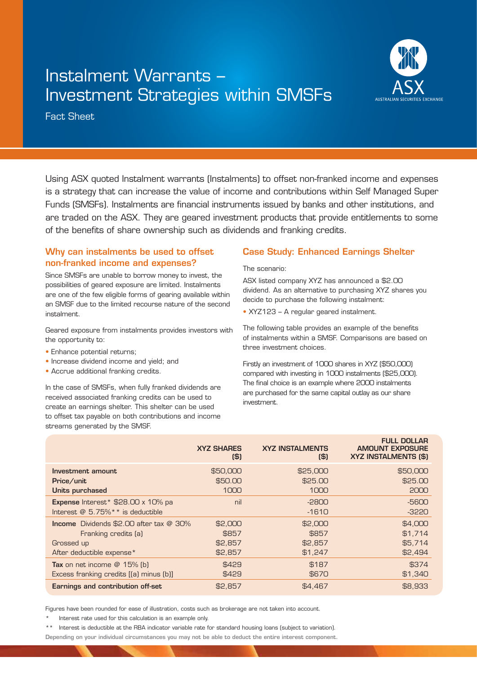## Instalment Warrants – Investment Strategies within SMSFs



Fact Sheet

Using ASX quoted Instalment warrants (Instalments) to offset non-franked income and expenses is a strategy that can increase the value of income and contributions within Self Managed Super Funds (SMSFs). Instalments are financial instruments issued by banks and other institutions, and are traded on the ASX. They are geared investment products that provide entitlements to some of the benefits of share ownership such as dividends and franking credits.

## Why can instalments be used to offset non-franked income and expenses?

Since SMSFs are unable to borrow money to invest, the possibilities of geared exposure are limited. Instalments are one of the few eligible forms of gearing available within an SMSF due to the limited recourse nature of the second instalment.

Geared exposure from instalments provides investors with the opportunity to:

- Enhance potential returns;
- Increase dividend income and yield; and
- Accrue additional franking credits.

In the case of SMSFs, when fully franked dividends are received associated franking credits can be used to create an earnings shelter. This shelter can be used to offset tax payable on both contributions and income streams generated by the SMSF.

## Case Study: Enhanced Earnings Shelter

The scenario:

ASX listed company XYZ has announced a \$2.00 dividend. As an alternative to purchasing XYZ shares you decide to purchase the following instalment:

• XYZ123 – A regular geared instalment.

The following table provides an example of the benefits of instalments within a SMSF. Comparisons are based on three investment choices.

Firstly an investment of 1000 shares in XYZ (\$50,000) compared with investing in 1000 instalments (\$25,000). The final choice is an example where 2000 instalments are purchased for the same capital outlay as our share investment.

| <b>XYZ SHARES</b><br>$($ \$            | <b>XYZ INSTALMENTS</b><br>$($ \$)      | <b>FULL DOLLAR</b><br><b>AMOUNT EXPOSURE</b><br><b>XYZ INSTALMENTS (\$)</b> |
|----------------------------------------|----------------------------------------|-----------------------------------------------------------------------------|
| \$50,000<br>\$50.00<br>1000            | \$25,000<br>\$25.00<br>1000            | \$50,000<br>\$25,00<br>2000                                                 |
| nil                                    | $-2800$<br>$-1610$                     | -5600<br>$-3220$                                                            |
| \$2,000<br>\$857<br>\$2,857<br>\$2,857 | \$2,000<br>\$857<br>\$2,857<br>\$1,247 | \$4,000<br>\$1,714<br>\$5,714<br>\$2,494                                    |
| \$429<br>\$429                         | \$187<br>\$670                         | \$374<br>\$1,340<br>\$8,933                                                 |
|                                        | \$2,857                                | \$4,467                                                                     |

Figures have been rounded for ease of illustration, costs such as brokerage are not taken into account.

Interest rate used for this calculation is an example only.

\*\* Interest is deductible at the RBA indicator variable rate for standard housing loans (subject to variation).

Depending on your individual circumstances you may not be able to deduct the entire interest component.